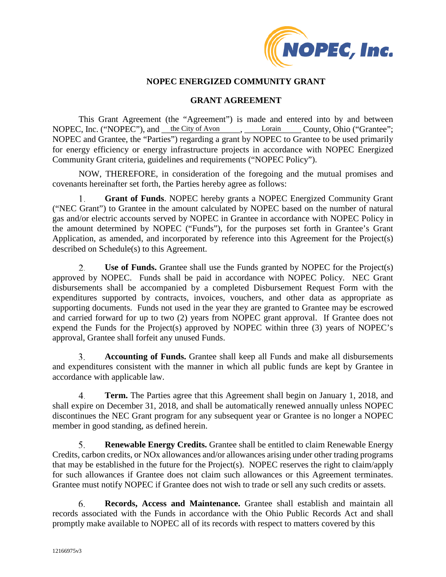

## **NOPEC ENERGIZED COMMUNITY GRANT**

### **GRANT AGREEMENT**

This Grant Agreement (the "Agreement") is made and entered into by and between NOPEC, Inc. ("NOPEC"), and <u>the City of Avon</u>, Lorain County, Ohio ("Grantee"; NOPEC and Grantee, the "Parties") regarding a grant by NOPEC to Grantee to be used primarily for energy efficiency or energy infrastructure projects in accordance with NOPEC Energized Community Grant criteria, guidelines and requirements ("NOPEC Policy").

NOW, THEREFORE, in consideration of the foregoing and the mutual promises and covenants hereinafter set forth, the Parties hereby agree as follows:

**Grant of Funds**. NOPEC hereby grants a NOPEC Energized Community Grant 1. ("NEC Grant") to Grantee in the amount calculated by NOPEC based on the number of natural gas and/or electric accounts served by NOPEC in Grantee in accordance with NOPEC Policy in the amount determined by NOPEC ("Funds"), for the purposes set forth in Grantee's Grant Application, as amended, and incorporated by reference into this Agreement for the Project(s) described on Schedule(s) to this Agreement.

2. **Use of Funds.** Grantee shall use the Funds granted by NOPEC for the Project(s) approved by NOPEC. Funds shall be paid in accordance with NOPEC Policy. NEC Grant disbursements shall be accompanied by a completed Disbursement Request Form with the expenditures supported by contracts, invoices, vouchers, and other data as appropriate as supporting documents. Funds not used in the year they are granted to Grantee may be escrowed and carried forward for up to two (2) years from NOPEC grant approval. If Grantee does not expend the Funds for the Project(s) approved by NOPEC within three (3) years of NOPEC's approval, Grantee shall forfeit any unused Funds.

**Accounting of Funds.** Grantee shall keep all Funds and make all disbursements 3. and expenditures consistent with the manner in which all public funds are kept by Grantee in accordance with applicable law.

4. **Term.** The Parties agree that this Agreement shall begin on January 1, 2018, and shall expire on December 31, 2018, and shall be automatically renewed annually unless NOPEC discontinues the NEC Grant program for any subsequent year or Grantee is no longer a NOPEC member in good standing, as defined herein.

5. **Renewable Energy Credits.** Grantee shall be entitled to claim Renewable Energy Credits, carbon credits, or NOx allowances and/or allowances arising under other trading programs that may be established in the future for the Project(s). NOPEC reserves the right to claim/apply for such allowances if Grantee does not claim such allowances or this Agreement terminates. Grantee must notify NOPEC if Grantee does not wish to trade or sell any such credits or assets.

**Records, Access and Maintenance.** Grantee shall establish and maintain all 6. records associated with the Funds in accordance with the Ohio Public Records Act and shall promptly make available to NOPEC all of its records with respect to matters covered by this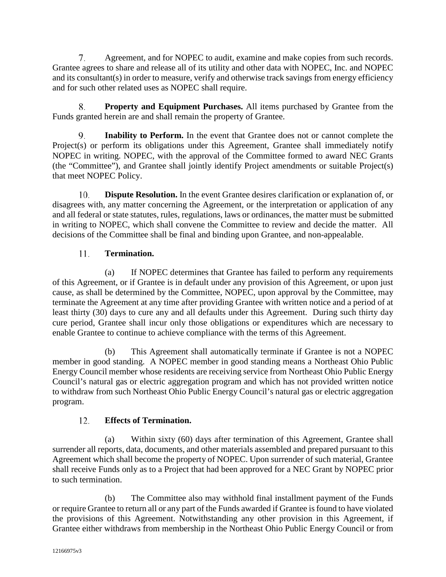7. Agreement, and for NOPEC to audit, examine and make copies from such records. Grantee agrees to share and release all of its utility and other data with NOPEC, Inc. and NOPEC and its consultant(s) in order to measure, verify and otherwise track savings from energy efficiency and for such other related uses as NOPEC shall require.

**Property and Equipment Purchases.** All items purchased by Grantee from the 8. Funds granted herein are and shall remain the property of Grantee.

**Inability to Perform.** In the event that Grantee does not or cannot complete the 9. Project(s) or perform its obligations under this Agreement, Grantee shall immediately notify NOPEC in writing. NOPEC, with the approval of the Committee formed to award NEC Grants (the "Committee"), and Grantee shall jointly identify Project amendments or suitable Project(s) that meet NOPEC Policy.

10. **Dispute Resolution.** In the event Grantee desires clarification or explanation of, or disagrees with, any matter concerning the Agreement, or the interpretation or application of any and all federal or state statutes, rules, regulations, laws or ordinances, the matter must be submitted in writing to NOPEC, which shall convene the Committee to review and decide the matter. All decisions of the Committee shall be final and binding upon Grantee, and non-appealable.

#### **Termination.**  11.

(a) If NOPEC determines that Grantee has failed to perform any requirements of this Agreement, or if Grantee is in default under any provision of this Agreement, or upon just cause, as shall be determined by the Committee, NOPEC, upon approval by the Committee, may terminate the Agreement at any time after providing Grantee with written notice and a period of at least thirty (30) days to cure any and all defaults under this Agreement. During such thirty day cure period, Grantee shall incur only those obligations or expenditures which are necessary to enable Grantee to continue to achieve compliance with the terms of this Agreement.

(b) This Agreement shall automatically terminate if Grantee is not a NOPEC member in good standing. A NOPEC member in good standing means a Northeast Ohio Public Energy Council member whose residents are receiving service from Northeast Ohio Public Energy Council's natural gas or electric aggregation program and which has not provided written notice to withdraw from such Northeast Ohio Public Energy Council's natural gas or electric aggregation program.

#### $12.$ **Effects of Termination.**

(a) Within sixty (60) days after termination of this Agreement, Grantee shall surrender all reports, data, documents, and other materials assembled and prepared pursuant to this Agreement which shall become the property of NOPEC. Upon surrender of such material, Grantee shall receive Funds only as to a Project that had been approved for a NEC Grant by NOPEC prior to such termination.

(b) The Committee also may withhold final installment payment of the Funds or require Grantee to return all or any part of the Funds awarded if Grantee is found to have violated the provisions of this Agreement. Notwithstanding any other provision in this Agreement, if Grantee either withdraws from membership in the Northeast Ohio Public Energy Council or from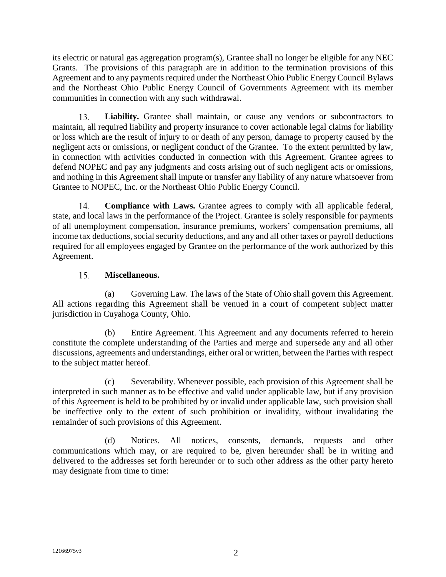its electric or natural gas aggregation program(s), Grantee shall no longer be eligible for any NEC Grants. The provisions of this paragraph are in addition to the termination provisions of this Agreement and to any payments required under the Northeast Ohio Public Energy Council Bylaws and the Northeast Ohio Public Energy Council of Governments Agreement with its member communities in connection with any such withdrawal.

13. **Liability.** Grantee shall maintain, or cause any vendors or subcontractors to maintain, all required liability and property insurance to cover actionable legal claims for liability or loss which are the result of injury to or death of any person, damage to property caused by the negligent acts or omissions, or negligent conduct of the Grantee. To the extent permitted by law, in connection with activities conducted in connection with this Agreement. Grantee agrees to defend NOPEC and pay any judgments and costs arising out of such negligent acts or omissions, and nothing in this Agreement shall impute or transfer any liability of any nature whatsoever from Grantee to NOPEC, Inc. or the Northeast Ohio Public Energy Council.

 $14$ **Compliance with Laws.** Grantee agrees to comply with all applicable federal, state, and local laws in the performance of the Project. Grantee is solely responsible for payments of all unemployment compensation, insurance premiums, workers' compensation premiums, all income tax deductions, social security deductions, and any and all other taxes or payroll deductions required for all employees engaged by Grantee on the performance of the work authorized by this Agreement.

#### 15. **Miscellaneous.**

(a) Governing Law. The laws of the State of Ohio shall govern this Agreement. All actions regarding this Agreement shall be venued in a court of competent subject matter jurisdiction in Cuyahoga County, Ohio.

(b) Entire Agreement. This Agreement and any documents referred to herein constitute the complete understanding of the Parties and merge and supersede any and all other discussions, agreements and understandings, either oral or written, between the Parties with respect to the subject matter hereof.

(c) Severability. Whenever possible, each provision of this Agreement shall be interpreted in such manner as to be effective and valid under applicable law, but if any provision of this Agreement is held to be prohibited by or invalid under applicable law, such provision shall be ineffective only to the extent of such prohibition or invalidity, without invalidating the remainder of such provisions of this Agreement.

(d) Notices. All notices, consents, demands, requests and other communications which may, or are required to be, given hereunder shall be in writing and delivered to the addresses set forth hereunder or to such other address as the other party hereto may designate from time to time: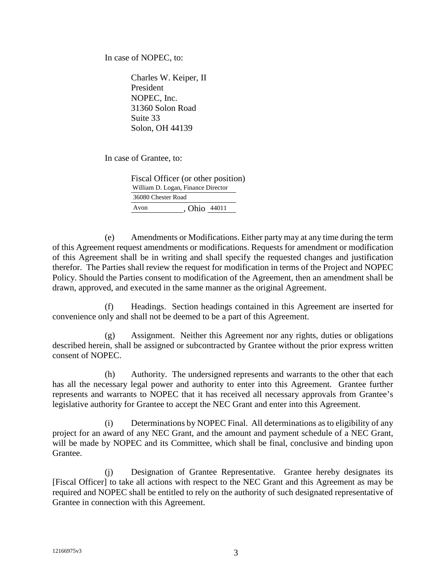In case of NOPEC, to:

Charles W. Keiper, II President NOPEC, Inc. 31360 Solon Road Suite 33 Solon, OH 44139

In case of Grantee, to:

Fiscal Officer (or other position) Avon , Ohio 44011 William D. Logan, Finance Director 36080 Chester Road

(e) Amendments or Modifications. Either party may at any time during the term of this Agreement request amendments or modifications. Requests for amendment or modification of this Agreement shall be in writing and shall specify the requested changes and justification therefor. The Parties shall review the request for modification in terms of the Project and NOPEC Policy. Should the Parties consent to modification of the Agreement, then an amendment shall be drawn, approved, and executed in the same manner as the original Agreement.

(f) Headings. Section headings contained in this Agreement are inserted for convenience only and shall not be deemed to be a part of this Agreement.

(g) Assignment. Neither this Agreement nor any rights, duties or obligations described herein, shall be assigned or subcontracted by Grantee without the prior express written consent of NOPEC.

(h) Authority. The undersigned represents and warrants to the other that each has all the necessary legal power and authority to enter into this Agreement. Grantee further represents and warrants to NOPEC that it has received all necessary approvals from Grantee's legislative authority for Grantee to accept the NEC Grant and enter into this Agreement.

(i) Determinations by NOPEC Final. All determinations as to eligibility of any project for an award of any NEC Grant, and the amount and payment schedule of a NEC Grant, will be made by NOPEC and its Committee, which shall be final, conclusive and binding upon Grantee.

(j) Designation of Grantee Representative. Grantee hereby designates its [Fiscal Officer] to take all actions with respect to the NEC Grant and this Agreement as may be required and NOPEC shall be entitled to rely on the authority of such designated representative of Grantee in connection with this Agreement.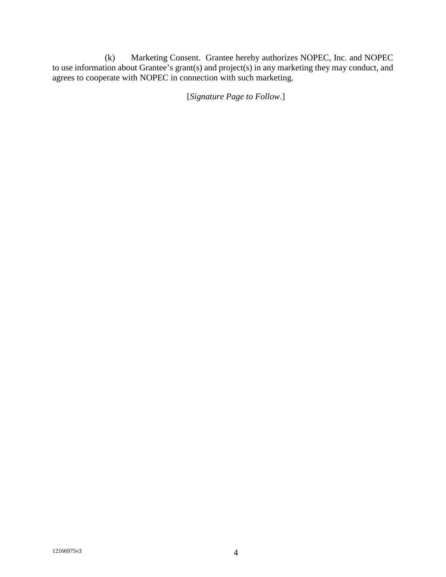(k) Marketing Consent. Grantee hereby authorizes NOPEC, Inc. and NOPEC to use information about Grantee's grant(s) and project(s) in any marketing they may conduct, and agrees to cooperate with NOPEC in connection with such marketing.

[*Signature Page to Follow*.]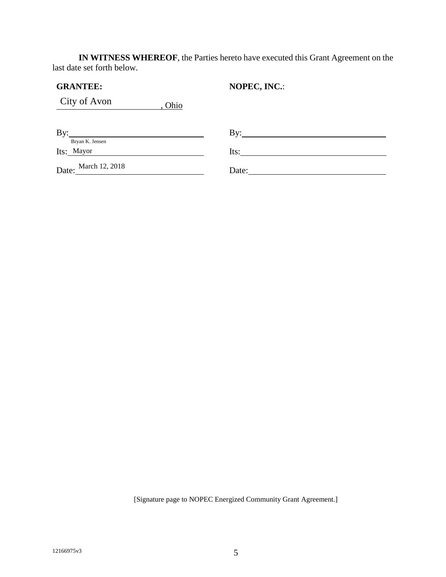**IN WITNESS WHEREOF**, the Parties hereto have executed this Grant Agreement on the last date set forth below.

| <b>GRANTEE:</b>        | NOPEC, INC.: |
|------------------------|--------------|
| City of Avon<br>, Ohio |              |
| By:<br>Bryan K. Jensen | $\rm\,By:$   |
| Its: Mayor             | Its:         |
| Date: March 12, 2018   | Date:        |

[Signature page to NOPEC Energized Community Grant Agreement.]